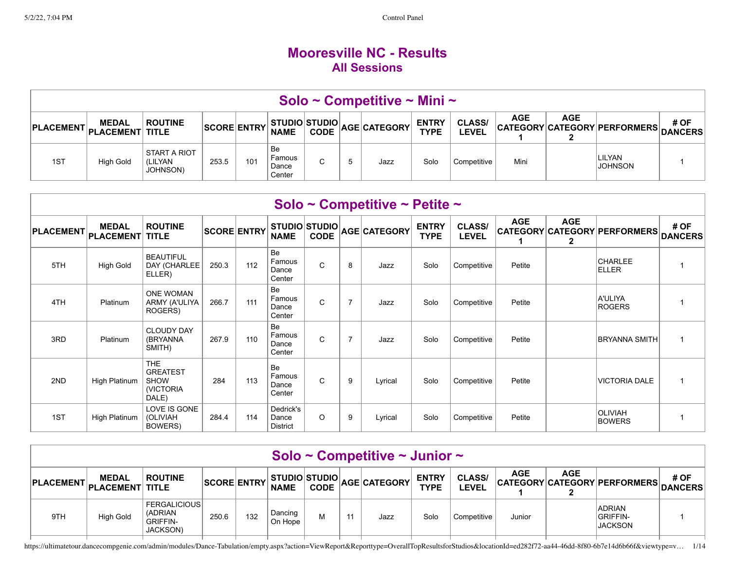# **Mooresville NC - Results All Sessions**

|     |                                       |                                            |                    |     |                                     |             | Solo ~ Competitive ~ Mini ~ |                             |                               |            |            |                                      |      |
|-----|---------------------------------------|--------------------------------------------|--------------------|-----|-------------------------------------|-------------|-----------------------------|-----------------------------|-------------------------------|------------|------------|--------------------------------------|------|
|     | <b>MEDAL</b><br>PLACEMENT PLACEMENT T | <b>ROUTINE</b><br><b>TITLE</b>             | <b>SCORE ENTRY</b> |     | <b>STUDIO STUDIO</b><br><b>NAME</b> | <b>CODE</b> | <b>AGE CATEGORY</b>         | <b>ENTRY</b><br><b>TYPE</b> | <b>CLASS/</b><br><b>LEVEL</b> | <b>AGE</b> | <b>AGE</b> | CATEGORY CATEGORY PERFORMERS DANCERS | # OF |
| 1ST | High Gold                             | START A RIOT<br>(LILYAN<br><b>JOHNSON)</b> | 253.5              | 101 | Be<br>Famous<br>Dance<br>Center     | С           | Jazz                        | Solo                        | Competitive                   | Mini       |            | LILYAN<br><b>JOHNSON</b>             |      |

|                  |                                        |                                                             |                    |     |                                       |                              |                | Solo ~ Competitive ~ Petite ~ |                             |                               |            |                            |                                 |                        |
|------------------|----------------------------------------|-------------------------------------------------------------|--------------------|-----|---------------------------------------|------------------------------|----------------|-------------------------------|-----------------------------|-------------------------------|------------|----------------------------|---------------------------------|------------------------|
| <b>PLACEMENT</b> | <b>MEDAL</b><br><b>PLACEMENT TITLE</b> | <b>ROUTINE</b>                                              | <b>SCORE ENTRY</b> |     | <b>NAME</b>                           | STUDIO STUDIO<br><b>CODE</b> |                | AGE CATEGORY                  | <b>ENTRY</b><br><b>TYPE</b> | <b>CLASS/</b><br><b>LEVEL</b> | <b>AGE</b> | <b>AGE</b><br>$\mathbf{2}$ | CATEGORY CATEGORY PERFORMERS    | # OF<br><b>DANCERS</b> |
| 5TH              | High Gold                              | <b>BEAUTIFUL</b><br>DAY (CHARLEE<br>ELLER)                  | 250.3              | 112 | Be<br>Famous<br>Dance<br>Center       | $\mathsf{C}$                 | 8              | Jazz                          | Solo                        | Competitive                   | Petite     |                            | <b>CHARLEE</b><br><b>ELLER</b>  |                        |
| 4TH              | Platinum                               | ONE WOMAN<br>ARMY (A'ULIYA<br>ROGERS)                       | 266.7              | 111 | Be<br>Famous<br>Dance<br>Center       | C                            | $\overline{7}$ | Jazz                          | Solo                        | Competitive                   | Petite     |                            | A'ULIYA<br><b>ROGERS</b>        |                        |
| 3RD              | Platinum                               | <b>CLOUDY DAY</b><br>(BRYANNA<br>SMITH)                     | 267.9              | 110 | Be<br>Famous<br>Dance<br>Center       | C                            | $\overline{7}$ | Jazz                          | Solo                        | Competitive                   | Petite     |                            | <b>BRYANNA SMITH</b>            |                        |
| 2ND              | High Platinum                          | THE<br><b>GREATEST</b><br><b>SHOW</b><br>(VICTORIA<br>DALE) | 284                | 113 | Be<br>Famous<br>Dance<br>Center       | $\mathsf{C}$                 | 9              | Lyrical                       | Solo                        | Competitive                   | Petite     |                            | <b>VICTORIA DALE</b>            |                        |
| 1ST              | High Platinum                          | LOVE IS GONE<br>(OLIVIAH<br>BOWERS)                         | 284.4              | 114 | Dedrick's<br>Dance<br><b>District</b> | $\circ$                      | 9              | Lyrical                       | Solo                        | Competitive                   | Petite     |                            | <b>OLIVIAH</b><br><b>BOWERS</b> |                        |

|                  |                                  |                                                                      |                    |     |                                     |             |    | Solo ~ Competitive ~ Junior ~ |                             |                               |            |            |                                                    |      |
|------------------|----------------------------------|----------------------------------------------------------------------|--------------------|-----|-------------------------------------|-------------|----|-------------------------------|-----------------------------|-------------------------------|------------|------------|----------------------------------------------------|------|
| <b>PLACEMENT</b> | <b>MEDAL</b><br><b>PLACEMENT</b> | <b>ROUTINE</b><br><b>TITLE</b>                                       | <b>SCORE ENTRY</b> |     | <b>STUDIO STUDIO</b><br><b>NAME</b> | <b>CODE</b> |    | <b>AGE CATEGORY</b>           | <b>ENTRY</b><br><b>TYPE</b> | <b>CLASS/</b><br><b>LEVEL</b> | <b>AGE</b> | <b>AGE</b> | CATEGORY CATEGORY PERFORMERS DANCERS               | # OF |
| 9TH              | High Gold                        | <b>FERGALICIOUS</b><br>(ADRIAN<br><b>GRIFFIN-</b><br><b>JACKSON)</b> | 250.6              | 132 | Dancing<br>On Hope                  | M           | 11 | Jazz                          | Solo                        | Competitive                   | Junior     |            | <b>ADRIAN</b><br><b>GRIFFIN-</b><br><b>JACKSON</b> |      |

https://ultimatetour.dancecompgenie.com/admin/modules/Dance-Tabulation/empty.aspx?action=ViewReport&Reporttype=OverallTopResultsforStudios&locationId=ed282f72-aa44-46dd-8f80-6b7e14d6b66f&viewtype=v… 1/14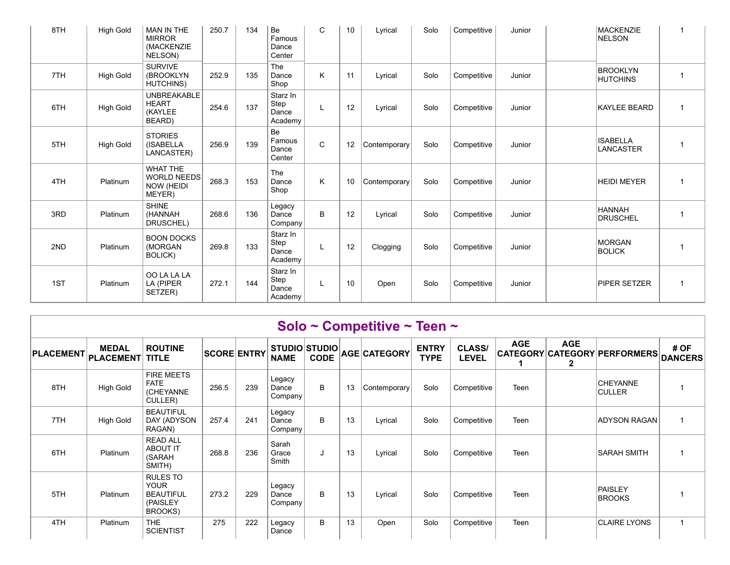| 8TH | High Gold       | <b>MAN IN THE</b><br><b>MIRROR</b><br>(MACKENZIE<br>NELSON)   | 250.7 | 134 | Be<br>Famous<br>Dance<br>Center      | C           | 10 | Lyrical      | Solo | Competitive | Junior | MACKENZIE<br>NELSON                |                |
|-----|-----------------|---------------------------------------------------------------|-------|-----|--------------------------------------|-------------|----|--------------|------|-------------|--------|------------------------------------|----------------|
| 7TH | High Gold       | <b>SURVIVE</b><br>(BROOKLYN<br>HUTCHINS)                      | 252.9 | 135 | The<br>Dance<br>Shop                 | K           | 11 | Lyrical      | Solo | Competitive | Junior | <b>BROOKLYN</b><br><b>HUTCHINS</b> | 1              |
| 6TH | High Gold       | <b>UNBREAKABLE</b><br><b>HEART</b><br>(KAYLEE<br>BEARD)       | 254.6 | 137 | Starz In<br>Step<br>Dance<br>Academy | L           | 12 | Lyrical      | Solo | Competitive | Junior | <b>KAYLEE BEARD</b>                | $\mathbf{1}$   |
| 5TH | High Gold       | <b>STORIES</b><br>(ISABELLA<br>LANCASTER)                     | 256.9 | 139 | Be<br>Famous<br>Dance<br>Center      | $\mathsf C$ | 12 | Contemporary | Solo | Competitive | Junior | <b>ISABELLA</b><br>LANCASTER       | 1              |
| 4TH | <b>Platinum</b> | <b>WHAT THE</b><br><b>WORLD NEEDS</b><br>NOW (HEIDI<br>MEYER) | 268.3 | 153 | The<br>Dance<br>Shop                 | Κ           | 10 | Contemporary | Solo | Competitive | Junior | <b>HEIDI MEYER</b>                 | $\mathbf{1}$   |
| 3RD | <b>Platinum</b> | <b>SHINE</b><br>(HANNAH<br>DRUSCHEL)                          | 268.6 | 136 | Legacy<br>Dance<br>Company           | B           | 12 | Lyrical      | Solo | Competitive | Junior | HANNAH<br><b>DRUSCHEL</b>          | -1             |
| 2ND | <b>Platinum</b> | <b>BOON DOCKS</b><br>(MORGAN<br>BOLICK)                       | 269.8 | 133 | Starz In<br>Step<br>Dance<br>Academy | L           | 12 | Clogging     | Solo | Competitive | Junior | MORGAN<br><b>BOLICK</b>            | $\overline{1}$ |
| 1ST | Platinum        | OO LA LA LA<br>LA (PIPER<br>SETZER)                           | 272.1 | 144 | Starz In<br>Step<br>Dance<br>Academy | L           | 10 | Open         | Solo | Competitive | Junior | <b>PIPER SETZER</b>                | $\mathbf{1}$   |

|                  |                                  |                                                                           |                    |     |                                         |                                     |    | Solo ~ Competitive ~ Teen ~ |                             |                               |            |                            |                                  |                        |
|------------------|----------------------------------|---------------------------------------------------------------------------|--------------------|-----|-----------------------------------------|-------------------------------------|----|-----------------------------|-----------------------------|-------------------------------|------------|----------------------------|----------------------------------|------------------------|
| <b>PLACEMENT</b> | <b>MEDAL</b><br><b>PLACEMENT</b> | <b>ROUTINE</b><br><b>TITLE</b>                                            | <b>SCORE ENTRY</b> |     | <b>NAME</b>                             | <b>STUDIO STUDIO</b><br><b>CODE</b> |    | <b>AGE CATEGORY</b>         | <b>ENTRY</b><br><b>TYPE</b> | <b>CLASS/</b><br><b>LEVEL</b> | <b>AGE</b> | <b>AGE</b><br>$\mathbf{2}$ | CATEGORY CATEGORY PERFORMERS     | # OF<br><b>DANCERS</b> |
| 8TH              | High Gold                        | <b>FIRE MEETS</b><br><b>FATE</b><br>(CHEYANNE<br>CULLER)                  | 256.5              | 239 | Legacy<br>Dance<br>Company <sup>1</sup> | B                                   | 13 | Contemporary                | Solo                        | Competitive                   | Teen       |                            | <b>CHEYANNE</b><br><b>CULLER</b> |                        |
| 7TH              | High Gold                        | <b>BEAUTIFUL</b><br>DAY (ADYSON<br>RAGAN)                                 | 257.4              | 241 | Legacy<br>Dance<br>Company              | B                                   | 13 | Lyrical                     | Solo                        | Competitive                   | Teen       |                            | <b>ADYSON RAGAN</b>              |                        |
| 6TH              | Platinum                         | <b>READ ALL</b><br><b>ABOUT IT</b><br>(SARAH<br>SMITH)                    | 268.8              | 236 | Sarah<br>Grace<br>Smith                 | J                                   | 13 | Lyrical                     | Solo                        | Competitive                   | Teen       |                            | <b>SARAH SMITH</b>               |                        |
| 5TH              | Platinum                         | <b>RULES TO</b><br><b>YOUR</b><br><b>BEAUTIFUL</b><br>(PAISLEY<br>BROOKS) | 273.2              | 229 | Legacy<br>Dance<br>Company              | B                                   | 13 | Lyrical                     | Solo                        | Competitive                   | Teen       |                            | <b>PAISLEY</b><br><b>BROOKS</b>  |                        |
| 4TH              | Platinum                         | <b>THE</b><br><b>SCIENTIST</b>                                            | 275                | 222 | Legacy<br>Dance                         | B                                   | 13 | Open                        | Solo                        | Competitive                   | Teen       |                            | <b>CLAIRE LYONS</b>              |                        |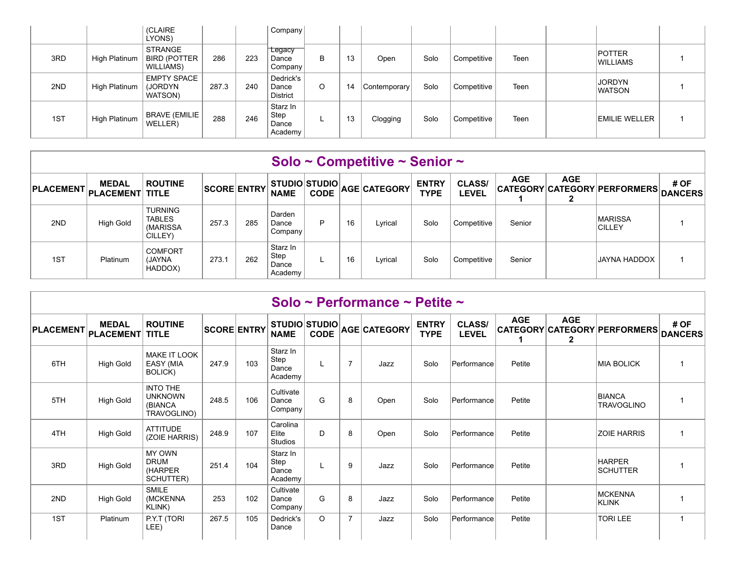|     |               | (CLAIRE<br>LYONS)                           |       |     | Company                               |         |    |              |      |             |      |                                  |  |
|-----|---------------|---------------------------------------------|-------|-----|---------------------------------------|---------|----|--------------|------|-------------|------|----------------------------------|--|
| 3RD | High Platinum | STRANGE<br><b>BIRD (POTTER</b><br>WILLIAMS) | 286   | 223 | Legacy<br>Dance<br>Company            | B       | 13 | Open         | Solo | Competitive | Teen | <b>POTTER</b><br><b>WILLIAMS</b> |  |
| 2ND | High Platinum | <b>EMPTY SPACE</b><br>(JORDYN<br>WATSON)    | 287.3 | 240 | Dedrick's<br>Dance<br><b>District</b> | $\circ$ | 14 | Contemporary | Solo | Competitive | Teen | <b>JORDYN</b><br><b>WATSON</b>   |  |
| 1ST | High Platinum | <b>BRAVE (EMILIE</b><br>WELLER)             | 288   | 246 | Starz In<br>Step<br>Dance<br>Academy  |         | 13 | Clogging     | Solo | Competitive | Teen | <b>EMILIE WELLER</b>             |  |

|     |                                     |                                                        |                    |     |                                      |             |    | Solo ~ Competitive ~ Senior ~ |                             |                               |            |            |                                      |      |
|-----|-------------------------------------|--------------------------------------------------------|--------------------|-----|--------------------------------------|-------------|----|-------------------------------|-----------------------------|-------------------------------|------------|------------|--------------------------------------|------|
|     | <b>MEDAL</b><br>PLACEMENT PLACEMENT | <b>ROUTINE</b><br><b>TITLE</b>                         | <b>SCORE ENTRY</b> |     | <b>STUDIO STUDIO</b><br><b>NAME</b>  | <b>CODE</b> |    | AGE CATEGORY                  | <b>ENTRY</b><br><b>TYPE</b> | <b>CLASS/</b><br><b>LEVEL</b> | <b>AGE</b> | <b>AGE</b> | CATEGORY CATEGORY PERFORMERS DANCERS | # OF |
| 2ND | High Gold                           | <b>TURNING</b><br><b>TABLES</b><br>(MARISSA<br>CILLEY) | 257.3              | 285 | Darden<br>Dance<br>Company           | P           | 16 | Lyrical                       | Solo                        | Competitive                   | Senior     |            | <b>MARISSA</b><br><b>CILLEY</b>      |      |
| 1ST | Platinum                            | <b>COMFORT</b><br>(JAYNA)<br>HADDOX)                   | 273.1              | 262 | Starz In<br>Step<br>Dance<br>Academy |             | 16 | Lyrical                       | Solo                        | Competitive                   | Senior     |            | <b>JAYNA HADDOX</b>                  |      |

|                  |                                  |                                                             |                    |     |                                      |                              |                | Solo ~ Performance ~ Petite ~ |                             |                               |            |                            |                                    |                        |
|------------------|----------------------------------|-------------------------------------------------------------|--------------------|-----|--------------------------------------|------------------------------|----------------|-------------------------------|-----------------------------|-------------------------------|------------|----------------------------|------------------------------------|------------------------|
| <b>PLACEMENT</b> | <b>MEDAL</b><br><b>PLACEMENT</b> | <b>ROUTINE</b><br><b>TITLE</b>                              | <b>SCORE ENTRY</b> |     | <b>NAME</b>                          | STUDIO STUDIO<br><b>CODE</b> |                | AGE CATEGORY                  | <b>ENTRY</b><br><b>TYPE</b> | <b>CLASS/</b><br><b>LEVEL</b> | <b>AGE</b> | <b>AGE</b><br>$\mathbf{2}$ | CATEGORY CATEGORY PERFORMERS       | # OF<br><b>DANCERS</b> |
| 6TH              | High Gold                        | MAKE IT LOOK<br>EASY (MIA<br>BOLICK)                        | 247.9              | 103 | Starz In<br>Step<br>Dance<br>Academy |                              | $\overline{7}$ | Jazz                          | Solo                        | Performance                   | Petite     |                            | <b>MIA BOLICK</b>                  | 1                      |
| 5TH              | High Gold                        | <b>INTO THE</b><br><b>UNKNOWN</b><br>(BIANCA<br>TRAVOGLINO) | 248.5              | 106 | Cultivate<br>Dance<br>Company        | G                            | 8              | Open                          | Solo                        | Performance                   | Petite     |                            | <b>BIANCA</b><br><b>TRAVOGLINO</b> |                        |
| 4TH              | High Gold                        | <b>ATTITUDE</b><br>(ZOIE HARRIS)                            | 248.9              | 107 | Carolina<br>Elite<br>Studios         | D                            | 8              | Open                          | Solo                        | Performance                   | Petite     |                            | <b>ZOIE HARRIS</b>                 |                        |
| 3RD              | High Gold                        | MY OWN<br><b>DRUM</b><br>(HARPER<br>SCHUTTER)               | 251.4              | 104 | Starz In<br>Step<br>Dance<br>Academy | L                            | 9              | Jazz                          | Solo                        | Performance                   | Petite     |                            | <b>HARPER</b><br><b>SCHUTTER</b>   | 1                      |
| 2ND              | High Gold                        | <b>SMILE</b><br>(MCKENNA<br>KLINK)                          | 253                | 102 | Cultivate<br>Dance<br>Company        | G                            | 8              | Jazz                          | Solo                        | Performance                   | Petite     |                            | <b>MCKENNA</b><br><b>KLINK</b>     |                        |
| 1ST              | Platinum                         | P.Y.T (TORI<br>LEE)                                         | 267.5              | 105 | Dedrick's<br>Dance                   | $\circ$                      | 7              | Jazz                          | Solo                        | Performance                   | Petite     |                            | TORI LEE                           | 1                      |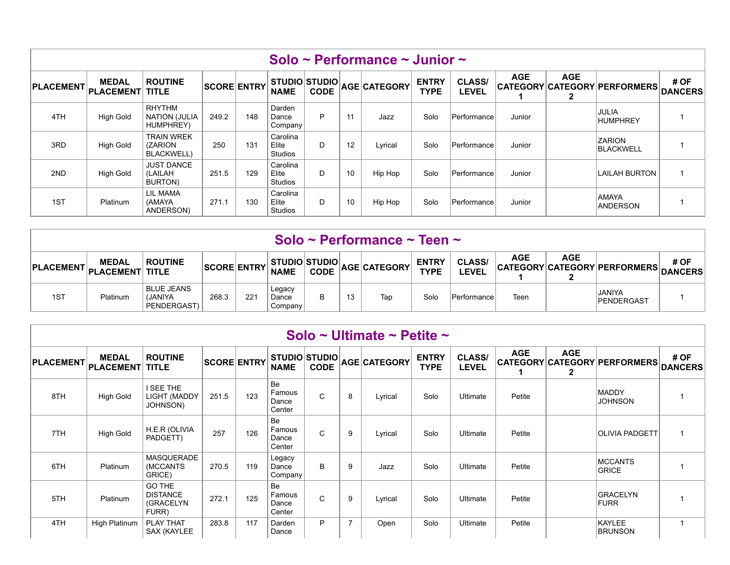|                  |                                  |                                                   |                    |     |                                     |                                     |    | Solo ~ Performance ~ Junior ~ |                             |                               |            |                            |                                     |                        |
|------------------|----------------------------------|---------------------------------------------------|--------------------|-----|-------------------------------------|-------------------------------------|----|-------------------------------|-----------------------------|-------------------------------|------------|----------------------------|-------------------------------------|------------------------|
| <b>PLACEMENT</b> | <b>MEDAL</b><br><b>PLACEMENT</b> | <b>ROUTINE</b><br><b>TITLE</b>                    | <b>SCORE ENTRY</b> |     | <b>NAME</b>                         | <b>STUDIO STUDIO</b><br><b>CODE</b> |    | AGE CATEGORY                  | <b>ENTRY</b><br><b>TYPE</b> | <b>CLASS/</b><br><b>LEVEL</b> | <b>AGE</b> | <b>AGE</b><br>$\mathbf{2}$ | <b>CATEGORY CATEGORY PERFORMERS</b> | # OF<br><b>DANCERS</b> |
| 4TH              | High Gold                        | <b>RHYTHM</b><br>NATION (JULIA<br>HUMPHREY)       | 249.2              | 148 | Darden<br>Dance<br>Company          | P                                   | 11 | Jazz                          | Solo                        | Performance                   | Junior     |                            | JULIA<br><b>HUMPHREY</b>            |                        |
| 3RD              | High Gold                        | <b>TRAIN WREK</b><br>(ZARION<br><b>BLACKWELL)</b> | 250                | 131 | Carolina<br>Elite<br>Studios        | D                                   | 12 | Lyrical                       | Solo                        | Performance                   | Junior     |                            | <b>ZARION</b><br>BLACKWELL          |                        |
| 2ND              | High Gold                        | <b>JUST DANCE</b><br>(LAILAH<br><b>BURTON</b> )   | 251.5              | 129 | Carolina<br>Elite<br><b>Studios</b> | D                                   | 10 | Hip Hop                       | Solo                        | Performance                   | Junior     |                            | <b>LAILAH BURTON</b>                |                        |
| 1ST              | <b>Platinum</b>                  | <b>LIL MAMA</b><br>(AMAYA<br>ANDERSON)            | 271.1              | 130 | Carolina<br>Elite<br>Studios        | D                                   | 10 | Hip Hop                       | Solo                        | Performance                   | Junior     |                            | AMAYA<br><b>ANDERSON</b>            |                        |

|            |                                  |                                             |                    |              |                               |             |    | Solo ~ Performance ~ Teen ~ |                             |                               |      |            |                                      |      |
|------------|----------------------------------|---------------------------------------------|--------------------|--------------|-------------------------------|-------------|----|-----------------------------|-----------------------------|-------------------------------|------|------------|--------------------------------------|------|
| PLACEMENT, | <b>MEDAL</b><br><b>PLACEMENT</b> | <b>ROUTINE</b><br><b>TITLE</b>              | <b>SCORE ENTRY</b> |              | STUDIO STUDIO <br><b>NAME</b> | <b>CODE</b> |    | <b>YAGE CATEGORY</b>        | <b>ENTRY</b><br><b>TYPE</b> | <b>CLASS/</b><br><b>LEVEL</b> | AGE  | <b>AGE</b> | CATEGORY CATEGORY PERFORMERS DANCERS | # OF |
| 1ST        | Platinum                         | <b>BLUE JEANS</b><br>(JANIYA<br>PENDERGAST) | 268.3              | $22^{\circ}$ | Legacy<br>Dance<br>Company    | B           | 13 | Tap                         | Solo                        | Performance                   | Teen |            | <b>JANIYA</b><br><b>PENDERGAST</b>   |      |

|                  |                                  |                                                        |                    |     |                                         |                                     |                | Solo ~ Ultimate ~ Petite ~ |                             |                               |            |                            |                                 |                        |
|------------------|----------------------------------|--------------------------------------------------------|--------------------|-----|-----------------------------------------|-------------------------------------|----------------|----------------------------|-----------------------------|-------------------------------|------------|----------------------------|---------------------------------|------------------------|
| <b>PLACEMENT</b> | <b>MEDAL</b><br><b>PLACEMENT</b> | <b>ROUTINE</b><br><b>TITLE</b>                         | <b>SCORE ENTRY</b> |     | <b>NAME</b>                             | <b>STUDIO STUDIO</b><br><b>CODE</b> |                | <b>AGE CATEGORY</b>        | <b>ENTRY</b><br><b>TYPE</b> | <b>CLASS/</b><br><b>LEVEL</b> | <b>AGE</b> | <b>AGE</b><br>$\mathbf{2}$ | CATEGORY CATEGORY PERFORMERS    | # OF<br><b>DANCERS</b> |
| 8TH              | High Gold                        | I SEE THE<br>LIGHT (MADDY<br>JOHNSON)                  | 251.5              | 123 | Be<br>Famous<br>Dance<br>Center         | C                                   | 8              | Lyrical                    | Solo                        | Ultimate                      | Petite     |                            | <b>MADDY</b><br><b>JOHNSON</b>  |                        |
| 7TH              | High Gold                        | H.E.R (OLIVIA<br>PADGETT)                              | 257                | 126 | Be<br>Famous<br>Dance<br>Center         | C                                   | 9              | Lyrical                    | Solo                        | Ultimate                      | Petite     |                            | <b>OLIVIA PADGETT</b>           |                        |
| 6TH              | Platinum                         | <b>MASQUERADE</b><br>(MCCANTS<br>GRICE)                | 270.5              | 119 | Legacy<br>Dance<br>Company <sup>1</sup> | B                                   | 9              | Jazz                       | Solo                        | Ultimate                      | Petite     |                            | <b>MCCANTS</b><br><b>GRICE</b>  |                        |
| 5TH              | Platinum                         | <b>GO THE</b><br><b>DISTANCE</b><br>(GRACELYN<br>FURR) | 272.1              | 125 | Be<br>Famous<br>Dance<br>Center         | C                                   | 9              | Lyrical                    | Solo                        | Ultimate                      | Petite     |                            | <b>GRACELYN</b><br><b>FURR</b>  |                        |
| 4TH              | High Platinum                    | PLAY THAT<br>SAX (KAYLEE                               | 283.8              | 117 | Darden<br>Dance                         | P                                   | $\overline{7}$ | Open                       | Solo                        | Ultimate                      | Petite     |                            | <b>KAYLEE</b><br><b>BRUNSON</b> |                        |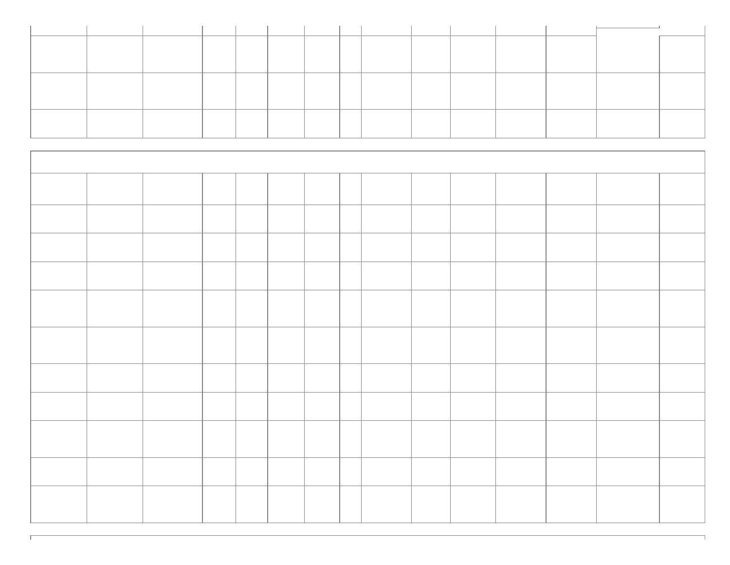|        | %581621                                                                                        | $&$ RPSDQ\                |         |              |                           |                         |  |
|--------|------------------------------------------------------------------------------------------------|---------------------------|---------|--------------|---------------------------|-------------------------|--|
| 5'     | $% $1$ $*$ $'(0)$<br>$+$ LJK 30D $\sqrt{\frac{6}{00}}$ (5621<br>(51(5                          | 7 K H<br>DQFH<br>6 K R S  | $-D$ ]] | 6 R O R      | 8 O W L P D W & H W L W H | (00(5621<br>(51(5)      |  |
| $\sim$ | $+23($ < 28<br>$+$ LJK 30D $W_{\%}^{\$}\underset{222411}{\overset{84}{\bigcirc}}$<br>$/20$ \$; | 7 K H<br>DQFH<br>6 K R S  |         | /\ULFDO 6ROR | 8 O W L P D W & H W L W H | $%522.+11$<br>$/20$ \$; |  |
| 67     | $5($ \$ $/$ : $/$ $'$<br>$+$ L J K 3 O D W& L Q / X P 0 < . \$ $+$                             | 7 K H<br>'DQFH<br>6 K R S | $2$ SHQ | 6 R O R      | 8 O W L P D W BH W L W H  | $0 < .5 + .1^*$         |  |

|                |                               |                                                                                                |          |                                                    |                                         | 6ROR a 8OWLPDWH a - XQLRU a    |                |                     |                                   |                                                                                                  |  |
|----------------|-------------------------------|------------------------------------------------------------------------------------------------|----------|----------------------------------------------------|-----------------------------------------|--------------------------------|----------------|---------------------|-----------------------------------|--------------------------------------------------------------------------------------------------|--|
|                | $3/\$8(0(17_3/\$8(0(177.7)/($ | 5287,1(                                                                                        | 6825(175 |                                                    | $678', 2678', 2$<br>1\$0( $82'$ ( $8''$ | $857$ ( $*$ 25 $\leq$          | (175<br>7 < 3( | $8/$ \$ 66<br>1(91) |                                   | $\frac{$*(3.57)(1.255)}{8.57(1.255)}$ $\frac{$*(1.255)(1.255)(1.250)(5.25)(1.255)}{8.51(2.255)}$ |  |
| $7 +$          | $+$ LJK $*$ ROG8& <           | $: 20 $1, = 6$<br>$7208 = $$ .                                                                 |          | 'DUBH Q<br>'DQFH<br>$&$ RPSDQ\                     | 3                                       | $S$ FUR                        | 6ROR           |                     | 8 O W L PID W HX Q L R U          | $188 < 708 =$                                                                                    |  |
| $7 +$          |                               | \$58\$'<br>30DWLQXPS5.66\$<br>% 65                                                             |          | 'DUGHQ<br>$'$ D Q F H<br>$&$ RPSDQ                 | 3                                       |                                |                |                     | AULFDO GROR 80WLPDWHXQLRU         | 0 \$5, 66 \$<br>$% (5 \times$                                                                    |  |
| $7 +$          |                               | 72;8<br>$30DWLQX0P$0$17+$$<br>%5\$66\$5'                                                       |          | 'DUGHQ<br>'DQFH<br>$&$ RPSDQ\                      | 3                                       | $-D$ ]]                        | 6 R O R        |                     | 8 O W L PID W HX Q L R U          | $6$0$17+$$<br>%5\$66\$5'                                                                         |  |
| $7 +$          |                               | $*$ / 2 5 $<$<br>3 O D W L Q X % 5 46 2 1<br>$67$ (: $$57$                                     |          | % H<br>DPRX V<br>DQFH<br>& H Q W H U               | &                                       |                                |                |                     | $+LS$ + RS 6 ROR 8 OWLPD WHX QLRU | %5\$621<br>$67$ (: \$57                                                                          |  |
| $7 +$          | $30DWLQXPO$1'$ \$             | 0221<br>$6 + 15 / (1)$                                                                         |          | % H<br>DPRX V<br>$\overline{DQ}$ FH<br>& H Q W H U | &                                       |                                |                |                     | &RQWHPSR0BOR 8OWLPDWHXQLRU        | \$0\$1's<br>$6 + 15 / (1$                                                                        |  |
| $7 +$          |                               | $7$ ( / (3 + 2 1 (<br>$+$ LJK 3OD WLQ & P\$, 5(<br>$60.7+$                                     |          | DUCHQ<br>'DQFH<br>$&$ RPSDQ                        | 3                                       | $-D$ ]]                        | 6ROR           |                     | 8 O W L PID W HX Q L R U          | 1, k 8/5, 5(<br>$60.7+$                                                                          |  |
| $7 +$          |                               | $\begin{array}{c}\n80 WLPD W & 1'6, '('\\ \n'LDPRQ & +\frac{6}{3}/1, (\\ 0 < (5)\n\end{array}$ |          | 7 K H<br>'DQFH<br>6KRS                             |                                         | & R Q W H P <b>S R 0 B O R</b> |                |                     | 8 O W L PID W HX Q L R U          | $+ $11, (0 (< 5)$                                                                                |  |
| $5$ $^{\circ}$ |                               | $80WLPD \mathcal{H}^{2}5, (1''LDPRQG 5 $8, (5)$                                                |          | % H<br>DPRX<br><sup>'</sup> DQFH<br>& H Q W H U    | &                                       | 7D S                           |                |                     | 6ROR 8OWLPDWHXQLRU                | $*5$8.$<br>788.(5                                                                                |  |
| 1 <sup>1</sup> |                               | $80WLPD WH^{1752/1252/135} + 1500WRW^{0,85+135/145}$                                           |          | 'HGULFNV<br>'DQFH<br>'LVWULFW                      | 2                                       | $2$ SHQ                        | 6 R O R        |                     | 8 O W L P D W HX Q L R U          | $0,8$ \$ + $*$ 5 \$' <                                                                           |  |
| 67             | $'LDPRQG 623+,$ \$            | $7+, (9(6), 1)$<br>8 O W L P $\uparrow$ W H $(7(03/1))$<br>0, / (75)                           |          | 6WDU<br>6 W U X F N<br>$'$ DQFH<br>6WXGLR          |                                         | $-D$ ]]                        |                |                     | 6ROR 8OWLPDWHXQLRU                | $623 + .\$ 0./\$17                                                                               |  |

┑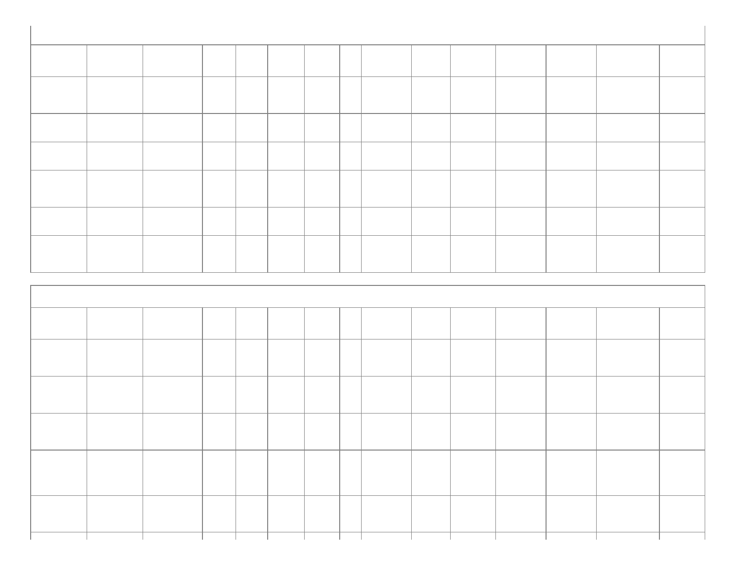## 6 R O R a 8 O W H PHO WaH a 7

| $3/$ 8 (0 (17 <sub>3</sub> / \$8 (0 (1 $7/$ \$8 (0 (1 $7/$ 7 , 7 / ( |                                                                                                                                                                                                                                                                                  |                                                                  | 6825(175) |                                                   |        | $678,2678,28*(87(^28)(25)$ | $(175x$<br>$7 < 3($ | &/\$66<br>/(9(/ |                           | $\begin{array}{ c c c c c c } \hline & \updownarrow^{\ast} & \updownarrow^{\ast} & \downarrow^{\ast} \\ \hline & 8 & \frac{1}{27} & \frac{1}{25} & \frac{1}{25} & \frac{1}{25} & \frac{1}{25} & \frac{1}{25} \\ & & 3 & \frac{1}{25} & \frac{1}{25} & \frac{1}{25} & \frac{1}{25} \\ & & 3 & \frac{1}{25} & \frac{1}{25} & \frac{1}{25} & \frac{1}{25} & \frac{1}{25} \\ & & \frac{1}{25} & \frac{1}{25}$ |  |
|----------------------------------------------------------------------|----------------------------------------------------------------------------------------------------------------------------------------------------------------------------------------------------------------------------------------------------------------------------------|------------------------------------------------------------------|-----------|---------------------------------------------------|--------|----------------------------|---------------------|-----------------|---------------------------|-----------------------------------------------------------------------------------------------------------------------------------------------------------------------------------------------------------------------------------------------------------------------------------------------------------------------------------------------------------------------------------------------------------|--|
| $7 +$                                                                |                                                                                                                                                                                                                                                                                  | $3 + $1202$<br>+ L J K * R $0\frac{7}{6}$ ( 23(5\$)<br>$%$ ( / . |           | % H<br>) D P R X V<br>'D Q F H<br>& H Q W H U     | &      |                            | %DOOHW6ROR          |                 | 8 O W L P D W FAH H Q     | $%5,$ \$11\$ % $( /$ .                                                                                                                                                                                                                                                                                                                                                                                    |  |
| $7 +$                                                                | 30DWLQXP(31\$)                                                                                                                                                                                                                                                                   | $28(31 \ (-6)$<br>$+, 1 2 1$                                     |           | 'HGULFNV<br>'DQFH<br>'LVWULFW                     | 2      |                            | AULFDO 6ROR         |                 | 8 O W L PID W FAHHQ       | 0 (< 15<br>$+, 1 2 1$                                                                                                                                                                                                                                                                                                                                                                                     |  |
| $7 +$                                                                |                                                                                                                                                                                                                                                                                  | $)5($ (\$6\$<br>+ L J K 3 O D WAL Q X P. \$ (' < 1<br>\$/021'    |           | (HJDF)<br>'DQFH<br>&RPSDQ                         | %      |                            | <b>/\ULFDO 6ROR</b> |                 | 8 O W L PID W FAHHQ       | $.$ \$ ( $'$ < 1<br>\$/021'                                                                                                                                                                                                                                                                                                                                                                               |  |
| $5$ '                                                                | +LJK 30D $\sqrt{\pi} \zeta_5^2 \zeta_6^8$                                                                                                                                                                                                                                        | $:+(1, 722.$<br>$1$ \$ < 1 (                                     |           | 7 K H<br>$'$ DQFH<br>6KRS                         | $\sim$ |                            |                     |                 | /\ULFDO 6ROR 8OWLPDWFTHHQ | $.$ \$56 < 1 / \$1 (                                                                                                                                                                                                                                                                                                                                                                                      |  |
| 1 <sup>1</sup>                                                       | $'LDPRQG.$ , 1*                                                                                                                                                                                                                                                                  | 80WLPDWH\$/0                                                     |           | 7 K H<br>$'$ DQFH<br>6KRS                         | $\sim$ | & R Q W H P S R 0 B O R    |                     |                 | 8 O W L P D W FAH H Q     | $0 < \frac{3}{2}$ , 1 *                                                                                                                                                                                                                                                                                                                                                                                   |  |
| 67                                                                   | ${ \begin{array}{c} 80WLPD \ W_{\rm d}^1 \\ 100W \ 100W \ 100W \ 100W \ 100W \ 100W \ 100W \ 100W \ 100W \ 100W \ 100W \ 100W \ 100W \ 100W \ 100W \ 100W \ 100W \ 100W \ 100W \ 100W \ 100W \ 100W \ 100W \ 100W \ 100W \ 100W \ 100W \ 100W \ 100W \ 100W \ 100W \ 100W \ 100$ | $+ $1/$                                                          |           | 6 W D U<br>6 W U X F N<br>$'$ DQFH<br>6 W X G L R |        | & R Q W H P S R 0 R O R    |                     |                 | 8 O W L P D W FAH H Q     | $+ $11$ * 5\$& (<br>'(9,1)                                                                                                                                                                                                                                                                                                                                                                                |  |

|       |                               |                                                                                                                                                                                                                                                                                                                                  |  |                                          |      | 6ROR a 8OWLPDWH a 6HQLRU a |              |                                      |                                                                                                                                                                                                            |  |
|-------|-------------------------------|----------------------------------------------------------------------------------------------------------------------------------------------------------------------------------------------------------------------------------------------------------------------------------------------------------------------------------|--|------------------------------------------|------|----------------------------|--------------|--------------------------------------|------------------------------------------------------------------------------------------------------------------------------------------------------------------------------------------------------------|--|
|       | $3/\$8(0(173/\$8(0(177,77)))$ |                                                                                                                                                                                                                                                                                                                                  |  |                                          |      |                            |              |                                      | $6825 (1758,800)$<br>$678,200$<br>$678,200$<br>$82 (1500)$<br>$85 (1758)$<br>$8.20$<br>$8.25 (1758)$<br>$8.25 (1758)$<br>$8.25 (1758)$<br>$8.25 (1758)$<br>$8.25 (1758)$<br>$8.25 (1758)$<br>$8.25 (1758)$ |  |
| $7 +$ |                               | $+2: /21*$<br>30DWLQ $\chi_2^{i}/(7, 729)$<br>$\chi_2^{i}/(7, 729)$<br>$+ $1/$                                                                                                                                                                                                                                                   |  | (HJDF)<br>'DQFH<br>& R P S D Q \         | $\%$ |                            | /\ULFDO 6ROR | 8 O W L P D W <del>C H</del> Q L R U | $6 < 1 (< + $)/$                                                                                                                                                                                           |  |
| $7 +$ |                               | $7+, 6$ 21(6)<br>$30DWLQ\chi^{25}_{0}$ < 28<br>$*(77/(6$                                                                                                                                                                                                                                                                         |  | /HJDF<br>'DTH<br>$&$ RPSDQ               | $\%$ |                            | /\ULFDO 6ROR | 8 O W L P D W <del>G H</del> Q L R U | $0($ \$ '2 :<br>$*(77/(6$                                                                                                                                                                                  |  |
| $7 +$ |                               | $7 + ($ :\$< < 28<br>$+$ LJK 30D $W_{0}^{3}Q(\chi_{\beta}^{0}(\cdot))$<br>1,771(                                                                                                                                                                                                                                                 |  | $/$ HJDF $\Lambda$<br>'DQFH<br>$&$ RPSDQ | $\%$ | $-D11$                     | 6 R O R      | 8 O W L P D W <del>G</del> H Q L R U | 0 \$. \$< 1<br>1,771(                                                                                                                                                                                      |  |
|       |                               | $1275($ $\frac{6}{5}$ $\frac{1}{5}$ $\frac{1}{5}$ $\frac{1}{5}$ $\frac{1}{5}$ $\frac{1}{5}$ $\frac{1}{5}$ $\frac{1}{5}$ $\frac{1}{5}$ $\frac{1}{5}$ $\frac{1}{5}$ $\frac{1}{5}$ $\frac{1}{5}$ $\frac{1}{5}$ $\frac{1}{5}$ $\frac{1}{5}$ $\frac{1}{5}$ $\frac{1}{5}$ $\frac{1}{5}$ $\frac{1}{5}$ $\frac{1}{5}$ $\frac$<br>72 6 \$ |  | 7 K H                                    |      |                            |              |                                      | $0.05 \pm 0.4$                                                                                                                                                                                             |  |

 $|$ &RQWHPSRUDOR 8OWLPDWGHQLRU

 $\wedge$ ULFDO 6ROR 8OWLPDWGHOLRU

 $025 * < 1$ 

 $/$  \$66,7(5

 $.$ , 567(1

 $(5 * 8 6 2 1)$ 

 $'$ DQFH

 $HJDF$ 

 $'$ DQFH

 $8$ RPSDQ

 $\%$ 

6KRS

 $7+$ 

 $7+$ 

 $+$  L J K 3 O D W 2 22  $\%$  R (

 $025 * < 1$ 

 $/$ \$66,7(5  $+2/7$  0 (

+LJK 30D  $W = \frac{1}{3}$ <br>  $(5 * 8621)$ <br>
(5\*8621)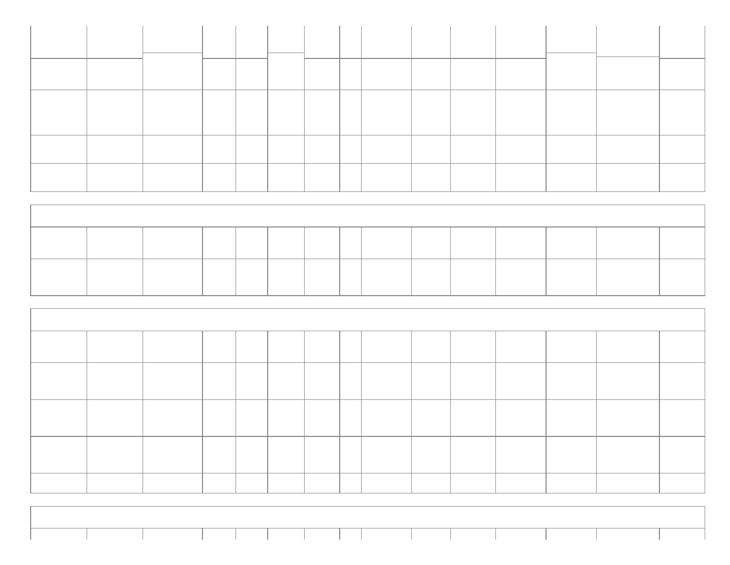| $7 +$          | $+$ LJK 3OD W \$ 0 X B / 8 6 7<br>$% (7 + $1 <$<br>$/20$ \$:<br>$6281'$ 2)                 | 7 K H<br>$'$ DQFH<br>6 K R S                        | & R Q W H P S R & B O R & O W L P D W <del>C H</del> Q L R U    | $% (7 + $1 <$<br>$/20$ \$; |
|----------------|--------------------------------------------------------------------------------------------|-----------------------------------------------------|-----------------------------------------------------------------|----------------------------|
| $7 +$          | $+$ LJK 30D $\sqrt{6}$ $\sqrt{6}$ $\sqrt{6}$ $\sqrt{6}$ $\sqrt{6}$<br>\$/021'              | /HJDF<br>'DQFH<br>$\frac{1}{2}$<br>$&$ RPSDQ        | 8 O W L P D W <del>C H</del> Q L R U<br>$2$ SHQ<br>6 R O R      | $*5\$8,1$<br>\$/021'       |
| 5 <sup>1</sup> | $, ','17.12$ :<br>0 < 2:1<br>+ L J K 3 O D W6 $Z$ Q $X$ 1 P 7 +<br>$= $5, $+$<br>$*22'621$ | (HJDF)<br>$\frac{1}{2}$<br>'DQFH<br>&RPSDQ          | 8 O W L PID W6HH Q L RIU<br>AULFDO 6ROR                         | $= $5, $+$<br>$*22'621$    |
| 1 <sup>1</sup> | +LJK 30D $W_2^4$ $W_3^2$ $W_3^3$ $W_4^5$ $W_1$                                             | 7 K H<br>$'$ DQFH<br>6 K R S                        | 8 O W L P D W <del>C H</del> Q L R U<br>& R Q W H P S R 0 B O R | $ 2/0, 9.5 : + 7($         |
| 67             | $80WLPDW2H0$1 - $'3$<br>'LDPRQG255                                                         | 'HGULFNV<br>$'$ DQFH<br>$\overline{2}$<br>'LVWU LFW | 8 O W L PID W <del>GIH</del> Q L RIU<br>$-D$ ]]<br>6ROR         | $-$ \$ ' \$ 255            |

|    |                                                                  |  |                                        |  | 'XHWUDR a & RPSHWLWLYH a OLQL a |  |                      |  |  |
|----|------------------------------------------------------------------|--|----------------------------------------|--|---------------------------------|--|----------------------|--|--|
|    | $3/$ \$&(0(1 $7/$ \$ $(0/$ \$/ 5287,1( $(3/$ \$&(0(177,7/( $(5/$ |  |                                        |  |                                 |  |                      |  |  |
| 67 | + L J K $*$ R $D(G($ & 75, &                                     |  | % H<br>DPRX V<br>'DQFHI<br>& H Q W H U |  | $-D$ ]]                         |  | 'XHWUL7R&RPSHWLWDYQL |  |  |

|                |                                                  |                                  |  |                                                    |                           |         |  |                                                         | 'XHWUDR a & RPSHWLWLYH a 3HWLWH a        |  |
|----------------|--------------------------------------------------|----------------------------------|--|----------------------------------------------------|---------------------------|---------|--|---------------------------------------------------------|------------------------------------------|--|
|                | $3/$ 8 (0 (17 <sub>3</sub> /\$8)(0 (177,7)/(     |                                  |  |                                                    |                           |         |  |                                                         | $6825 (1753)678,2678,287(18)(185)(1753)$ |  |
| $7 +$          |                                                  | $+$ LJK $*$ R $D/G$ \$ 1 2 1 0 ( |  | % H<br>DPRX V<br>$\overline{DQ}$ FH<br>& H Q W H U | $\boldsymbol{\mathsf{R}}$ |         |  | & R Q W H P S RXUHDAVU L TR R P S H W L W 3LHY WH L W H |                                          |  |
| 5 <sup>1</sup> |                                                  | + L J K * R $Q'Q$ /, ) ( %, *    |  | % H<br>DPRX V<br>$'$ DQFH<br>& H Q W H U           | &                         | $-D$ ]] |  | 'XHWUL/TR&RPSHWLW3LPYWHLWH                              |                                          |  |
| 1'             |                                                  | $30DWLQ$ $8P$ $3P$ $3P$ $4(1$    |  | % H<br>$D$ P R $X$ $V$<br>$'$ DQFH<br>& H Q W H U  |                           | $-D$ ]] |  | 'XHWUDRRPSHWLW3LPYWHLWH                                 |                                          |  |
| 67             | 3 O D W L Q <i>X</i> <sub>6</sub> P <sub>2</sub> |                                  |  | $'DTLQJ_0$<br>2Q +RSH $^0$                         |                           | $-D$ ]] |  | 'XHWUD'R&RPSHWLW3LPYWHLWH                               |                                          |  |

# 'XHWUZR a & RPSHWLWLYH a - XQLRU a

 $5287,1(6825)(1756678,2678,28*(857(*256)(1756)8/$66)$  $3/$ \$ & (0(1 $\bar{7}$  0('\$/  $\frac{1}{2}$  (  $\frac{1}{3}$  (5) 250 (5)  $2)$ KWWSV XOSWODFFDHWFRPWSRUXHUQLH FRP DOFEKOODPWRDSRAXOOSH|NPDSREWMONDERBOLTS9RUW 5HSRURWSWHSVHXOLWFMURDUOGOWYXGLRVORFDWLRQ,GHG I DAD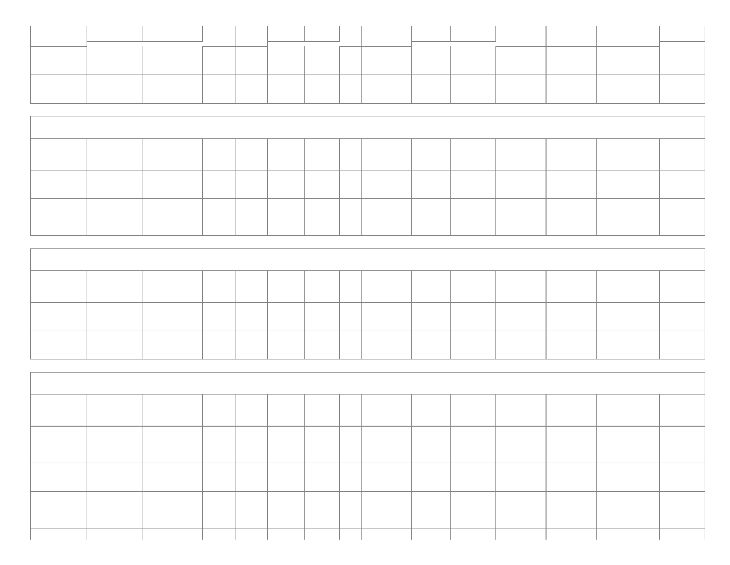|    | $3/$ \$ & (0(1 $77, 7/$ )          | & 2 ' (<br>1\$0(                                          | $8 \frac{1}{97}$ ( $* 2 \frac{5}{9}$ & \$7 ( $* 2 \frac{5}{9}$<br>(911)<br>7 < 3( | 1\$18(56) |
|----|------------------------------------|-----------------------------------------------------------|-----------------------------------------------------------------------------------|-----------|
|    | $30DWLQ\frac{1}{6}P^{\prime}$ 21 Z | /HJDF<br>'DTH<br>$\frac{1}{2}$<br>& R P S D Q \           | /\ULFD OXHWULTR&RPSHWLW-LXYQHLRU                                                  |           |
| 67 | 30DWLQ $\frac{8567}{8728}$         | $/$ HJDF $\overline{)}$<br>$\%$<br>'DQFH<br>& R P S D Q \ | /\ULFD OXHWULTR&RPSHWLW-LXYQHLRU                                                  |           |

|    |                                 |                                       |  |                                                     |    | 'XHWUIR a 3HUIRUPDQFH a OLQL a |  |                          |                                                                                                                                                                                                                                                                                                                                                                                                                                                |  |
|----|---------------------------------|---------------------------------------|--|-----------------------------------------------------|----|--------------------------------|--|--------------------------|------------------------------------------------------------------------------------------------------------------------------------------------------------------------------------------------------------------------------------------------------------------------------------------------------------------------------------------------------------------------------------------------------------------------------------------------|--|
|    |                                 | $3/$ 8 (0 (173/8) (0 (177.77)         |  |                                                     |    |                                |  |                          | $6825( (175 - \frac{678}{150} \cdot \frac{2678}{82} \cdot \frac{2}{8} \cdot (\frac{2}{8} \cdot \frac{2}{1}) \cdot \frac{2}{8} \cdot (\frac{25}{8}) \cdot (\frac{25}{12}) \cdot (\frac{175}{7 \cdot 3} \cdot \frac{8}{50}) \cdot (\frac{25}{19}) \cdot (\frac{25}{19}) \cdot (\frac{25}{19}) \cdot (\frac{25}{19}) \cdot (\frac{25}{19}) \cdot (\frac{25}{19}) \cdot (\frac{25}{19}) \cdot (\frac{25}{19}) \cdot (\frac{25}{19}) \cdot (\frac{$ |  |
|    | + L J K * R $\log_{6.7 : (11)}$ |                                       |  | 'DUGHQ<br>'DQFH <br>$&$ RPSDQ                       | -3 |                                |  | /\ULFDOXHWUDRUIRUPDQBHQL |                                                                                                                                                                                                                                                                                                                                                                                                                                                |  |
| 67 |                                 | + L J K * R $O_{38575}^{6}$ (2) 7 + ( |  | 6 W D U ] , Q<br>6 W H S<br>'DQFH<br><b>SFDGHP\</b> |    | - D 11                         |  | 'XHWU L'RHUIRU PDQ BHQL  |                                                                                                                                                                                                                                                                                                                                                                                                                                                |  |

|                |                                                |  |                                             |  | 'XHWUZR a 3HUIRUPDQFH a -XQLRU a |  |                                      |                                                                                                                                                                                                                                                                                                                                                                                                         |  |
|----------------|------------------------------------------------|--|---------------------------------------------|--|----------------------------------|--|--------------------------------------|---------------------------------------------------------------------------------------------------------------------------------------------------------------------------------------------------------------------------------------------------------------------------------------------------------------------------------------------------------------------------------------------------------|--|
|                | $3/$ \$ & (0(1 $7_3$ / \$ & (0(1 $7_7$ , 7 / ( |  |                                             |  |                                  |  |                                      | $6825((1755 \times 10^{-10}) \times 10^{-10}) \times 10^{-10} \times 10^{-10} \times 10^{-10} \times 10^{-10} \times 10^{-10} \times 10^{-10} \times 10^{-10} \times 10^{-10} \times 10^{-10} \times 10^{-10} \times 10^{-10} \times 10^{-10} \times 10^{-10} \times 10^{-10} \times 10^{-10} \times 10^{-10} \times 10^{-10} \times 10^{-10} \times 10^{-10} \times 10^{-10} \times 10^{-10} \times 1$ |  |
| 1 <sup>1</sup> | + L J K $*$ R $D/Q$ 9 (/<                      |  | & D U R ( O L Q D<br>(OLWH<br>6 W X G L R V |  |                                  |  | /\ULFDOXHWUURHUIRUPDQEXHQLRU         |                                                                                                                                                                                                                                                                                                                                                                                                         |  |
| 67             | + L J K 3 O D V V L Q T X P : 1                |  | & D U R O L Q D<br>(OLWH<br>6 W X G L R V   |  |                                  |  | $+LS$ + RS'XHWU LABHUIRU PDQ-FXHQLRU |                                                                                                                                                                                                                                                                                                                                                                                                         |  |

|             |                          |                               |  |                                              |               |         |  | 'XHWUIZR a 8OWLPDWH a 3HWLWH a       |                                                                                                                                                                                                                                                                                                                                                                                           |  |
|-------------|--------------------------|-------------------------------|--|----------------------------------------------|---------------|---------|--|--------------------------------------|-------------------------------------------------------------------------------------------------------------------------------------------------------------------------------------------------------------------------------------------------------------------------------------------------------------------------------------------------------------------------------------------|--|
|             | $3/$ 8 (0 (173/          |                               |  |                                              |               |         |  |                                      | $\left  \begin{array}{cc} 6 & 8 & 2 & 5 \\ 6 & 8 & 2 & 5 \\ 7 & 8 & 6 & 7 \end{array} \right  \left  \begin{array}{c} 6 & 7 & 8 \\ 1 & 5 & 0 \\ 8 & 2 & 0 \\ 6 & 6 & 6 \end{array} \right  \left  \begin{array}{c} 8 & 5 & 6 \\ 8 & 2 & 6 \\ 7 & 3 & 0 \\ 7 & 3 & 0 \\ 8 & 2 & 0 \end{array} \right  \left  \begin{array}{c} 8 & 7 & 6 \\ 8 & 4 & 5 \\ 1 & 2 & 0 \\ 1 & 2 & 0 \\ 1 & 2 &$ |  |
| $7 +$       |                          | + LJK * R $0\frac{7}{2}$ 9(   |  | % H<br>DPRX<br>'DQFH<br>& H Q W H U          |               | $-D$ ]] |  | 'XHWUD'R 8 O W L P D W 3HH W L W H   |                                                                                                                                                                                                                                                                                                                                                                                           |  |
| $7 +$       | $3$ O D W L Q X, $P(52)$ |                               |  | 'DUGHQ<br>'DTH<br>$&$ RPSDQ\                 | $\mathcal{R}$ | $2$ SHQ |  | 'X H WU LTR 8 O W L PID W BH W L W H |                                                                                                                                                                                                                                                                                                                                                                                           |  |
| $7 +$       | $30DWLQ\$ $6/2$ , $0($   |                               |  | % H<br>$D$ P R $X$ V<br>'DQFH<br>& H Q W H U | &             |         |  | /\ULFDOXHWUDR8OWLPDW3HWLWH           |                                                                                                                                                                                                                                                                                                                                                                                           |  |
| $5^{\circ}$ |                          | 3 O D W L Q X P 0 2 57 \$ / 6 |  | % H                                          | &             | $-D$ ]] |  | 'XHWU L7R 8 O W L P D W 3HH W L W H  |                                                                                                                                                                                                                                                                                                                                                                                           |  |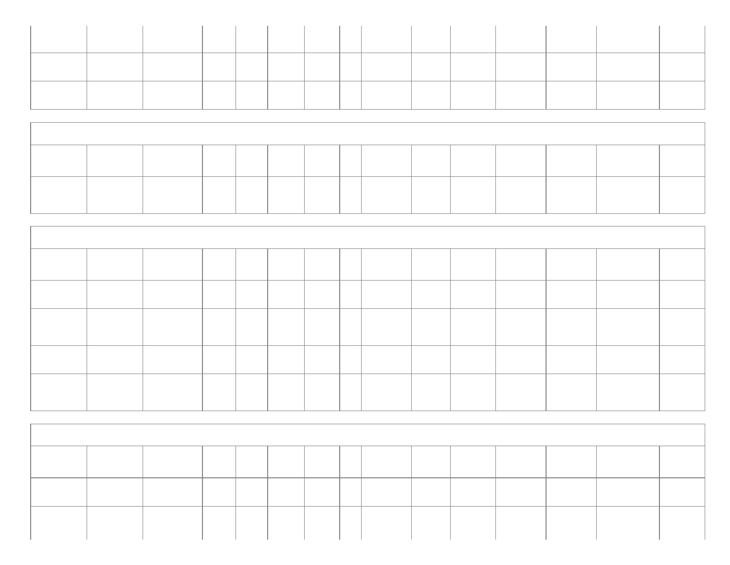|                |                              | DPRX V<br>'DQFH<br>& H Q W H U                                                                   |  |
|----------------|------------------------------|--------------------------------------------------------------------------------------------------|--|
| $\overline{ }$ | +LJK 3OD W& L2Q X H 6        | 7 K H<br><sup>O X V L F D Q</sup> H WU L R 8 O W L P D W <del>B</del> H W L W H<br>'DQFH<br>6KRS |  |
| 67             | $80$ WLPDWH <sub>1210(</sub> | 7 K H<br>'DQFH<br>/\ULFDOXHWUDR8OWLPDW3HWLWH<br>6KRS                                             |  |

|    |                                                              |  |                                      |  | 'XHWUIZR a 8O W LPD W H a - X Q L R U a |  |                                                   |                                                                                                                                                          |  |
|----|--------------------------------------------------------------|--|--------------------------------------|--|-----------------------------------------|--|---------------------------------------------------|----------------------------------------------------------------------------------------------------------------------------------------------------------|--|
|    | $3/\$8(0(17_3/\$8(0(177,7))$                                 |  |                                      |  |                                         |  |                                                   | $6825((1758, 2678, 2678, 2678, 2678))$<br>6825((1758) 180(2)<br>82'(857(*258) 180(2)<br>7<3(2)<br>7<3(2)<br>7(9)<br>857(*258) 250(56, 1805)<br>857(*258) |  |
| 67 | $  +$ LJK 30D $\sqrt{4}$ Q $\sqrt{7}$ P <sup>*, 9(83</sup> ) |  | % H<br>DPRX<br>'DQFHI<br>& H Q W H U |  | 7D <sub>S</sub>                         |  | 'X H WU Lİ'R 8 O W L PID W <del>H</del> X Q L R U |                                                                                                                                                          |  |

|                 |                              |                                                |  |                                                |      | 'XHWUIZR a 8OWLHPHDQWaH a 7                       |  |                             |                                                                                                                                                                                                                                                    |  |
|-----------------|------------------------------|------------------------------------------------|--|------------------------------------------------|------|---------------------------------------------------|--|-----------------------------|----------------------------------------------------------------------------------------------------------------------------------------------------------------------------------------------------------------------------------------------------|--|
| $3/$ 8 (0 (173/ |                              |                                                |  |                                                |      |                                                   |  |                             | $6825(1758, 2678, 2678, 2678)$<br>$6825(1758, 2678, 2678)$<br>$6825(1758, 2678)$<br>$857(1758, 2678)$<br>$758(1758, 2678)$<br>$758(1758, 2678)$<br>$758(1758, 2678)$<br>$758(1758, 2678)$<br>$758(1758, 2678)$<br>$758(1758, 2678)$<br>$758(1758,$ |  |
| $7 +$           |                              | 30DWLQ $x^{21}$ <sub>8</sub> <sup>2</sup> /(7) |  | /HJDF)<br>'DTH<br>& R P S D Q \                | $\%$ |                                                   |  | /\ULFD OXHWUUR8OWLP DWFAHHQ |                                                                                                                                                                                                                                                    |  |
| 5'              | $+$ LJK 30 D W L Q X P\$ . 7 |                                                |  | % H<br>DPRX V<br>$'$ DQFH<br>& H Q W H U       | &    | & R Q W H P S RXUHDAW L TR 8 O W L P D W FAH H Q  |  |                             |                                                                                                                                                                                                                                                    |  |
| 1 <sup>1</sup>  | +LJK 3OD WIQL%20K5P6         |                                                |  | 7 K H<br>'DTH<br>6 K R S                       |      | & R Q W H P S RXUHDAVU L TR 8 O W L P D W FAH H Q |  |                             |                                                                                                                                                                                                                                                    |  |
| 67              | $'LDPRQG+20($                | $80WLPDW2H%8,/$ \$                             |  | 6 W D U<br>6 W U X F N<br>'DQFH<br>6 W X G L R |      | & R Q W H P S RXUHDAW L YR 8 O W L PID W FAH H Q  |  |                             |                                                                                                                                                                                                                                                    |  |

|       |                           | $3/$ \$&(0(1 $7/$ 3/\$&(0(177,7)(                                                                                    |  |                                          |      |         |  |                                                 | $6825 (1758,800)$<br>$6825 (1758,800)$<br>$6825(1758,800)$<br>$6825(1758,800)$ |     |
|-------|---------------------------|----------------------------------------------------------------------------------------------------------------------|--|------------------------------------------|------|---------|--|-------------------------------------------------|--------------------------------------------------------------------------------|-----|
| $7 +$ | $+$ L J K $*$ R OGG \$9 ( |                                                                                                                      |  | $/$ HJDF $\lambda$<br>'DQFH<br>$&$ RPSDQ | $\%$ | 7D S    |  | 'XHWU L/TR 8 O W L P D W <del>C H</del> Q L R U |                                                                                |     |
| $7+$  |                           | + L J K * R $D\%$ (7 : ((1 7 +   (<br>1.1(6)                                                                         |  | % H<br>DPRX                              | ୍ୟ   | $-D$ ]] |  | 'XHWUD'R 8 O W L PID W6HH Q L RIU               |                                                                                |     |
| KWWSV |                           | XOCWDQFFDHWFRHWSRUXHLQLH FRPDOFELXODDPWRLGBXXOOSHHWPDSREWMQHLERGD7S9RUW 5HSRURWSSWHXCWMMURDUOGOW7XGLRV ORFDWLRQ.G HG |  |                                          |      |         |  |                                                 |                                                                                | D®O |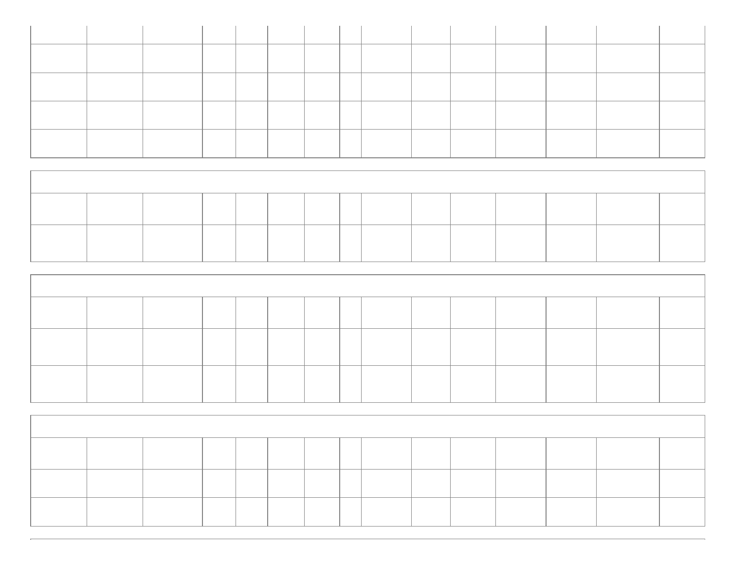|                |                                                | 'DTH<br>& H Q W H U                                           |                                                      |
|----------------|------------------------------------------------|---------------------------------------------------------------|------------------------------------------------------|
| $7 +$          | $+$ L J K $*$ R $D$ G $($ $\le$                | $/$ HJDF $\Lambda$<br>'DQFH<br>$\%$<br>& R P S D Q \          | /\ULFD OXHWUUR8OWLP DW6HHQLR U                       |
| 5'             | + L J K * R O* G \$ 176                        | /HJDF<br>'DQFH<br>$\%$<br>& R P S D Q \                       | /\ULFD OXHWUUR8OWLP DW6HHQLR U                       |
| 1 <sup>1</sup> | +LJK 30D $\psi$ 58 $\frac{7}{9}$ $\frac{7}{1}$ | $/$ HJDF $\Lambda$<br>'DQFH<br>$\frac{1}{2}$<br>& R P S D Q \ | /\ULFD OXHWUUR8OWLP DW6HHQLR U                       |
| 67             | $+$ LJK 30 D W6 $\pm$ Q & P                    | 7 K H<br>'DQFH<br>6 K R S                                     | & R Q W H P S RXUHDAW L TR 8 O W L P D W GHH Q L R U |

|    |                                  |  |                                                           |  |  |                                                         | 6PDOO *URXS a &RPSHWLWLYH a OLQL a                                                                                                                                                                                               |  |
|----|----------------------------------|--|-----------------------------------------------------------|--|--|---------------------------------------------------------|----------------------------------------------------------------------------------------------------------------------------------------------------------------------------------------------------------------------------------|--|
|    |                                  |  |                                                           |  |  |                                                         | $3/$ 8 (0 (173)/g('\$/ 5287,1( 6&25 (175 - 678', 2678', 25 - (175 - 175 - 175 - 175 - 175 - 175 - 18 1866 - 175 - 18 187 (* 25 - 187 (* 25 - 187 (* 25 - 187 (* 25 - 187 (* 25 - 187 (* 25 - 187 (* 25 - 187 (* 25 - 187 (* 25 - |  |
| 67 | $30DWLQ\frac{16}{92}g^{0(50\%)}$ |  | % H<br>$D$ PRX $ V $<br>$\overline{DQ}$ FH<br>& H Q W H U |  |  | $\sqrt{U LFD}$ O $^{6PDO}_{*IIRX}$ S $^{8RPSHW}$ LWDYBL |                                                                                                                                                                                                                                  |  |

|                |                                   |  |                                            |   |  |  |                                          | 6PDOO *URXS a &RPSHWLWLYH a 3HWLWH a                                                         |  |
|----------------|-----------------------------------|--|--------------------------------------------|---|--|--|------------------------------------------|----------------------------------------------------------------------------------------------|--|
|                | $3/$ \$&(0(1 $7/3/$ \$&(0(177,7/( |  |                                            |   |  |  |                                          | $6825 (1755 678 ,2678 ,2678 ,267 8*( 857 *255 )(1755 8/566 857 *255 857 *255 3(5)250(56 ,2)$ |  |
| 4 <sup>1</sup> | $30DWLQ$ & 20, 1 $*$ 83           |  | % H<br>$D$ P R X V<br>'DQFH<br>& H Q W H U | ጼ |  |  | +LS +RS <sup>6PDO</sup> Q RPSHWLW3LWHLWH |                                                                                              |  |
| 67             | $30DWLQXP2.7*83$                  |  | % H<br>DPRX V<br>'DQFH<br>& H Q W H U      | & |  |  | $ $ & RQWHPS RQPDQQ&RPSHWLW3HWLWH        |                                                                                              |  |

|                |                                                                                        |                               |  |                                           |               |  |  |                                                       | 6PDOO *URXS a &RPSHWLWLYH a -XQLRU a                                                              |  |
|----------------|----------------------------------------------------------------------------------------|-------------------------------|--|-------------------------------------------|---------------|--|--|-------------------------------------------------------|---------------------------------------------------------------------------------------------------|--|
|                |                                                                                        |                               |  |                                           |               |  |  |                                                       | $3/3 \& (0.173)(3 \& (0.177,7) (3.18)(0.177,7) )\begin{array}{l} 6/3 \times 10^{-18} \end{array}$ |  |
| $\overline{A}$ |                                                                                        | + L J K 3 O D W L5Q X%P 2 6 6 |  | /HJDFH<br>'DQFHI<br>$&$ RPSDQ             | $\frac{1}{2}$ |  |  | $-D$ ]] $\begin{array}{c} 6PD^0Q & RPSHW$ LW-LXXGHLRU |                                                                                                   |  |
| 67             | $\frac{1}{8}$ 80WLPDWH $\frac{1}{8}$ $\frac{1}{8}$ $\frac{3}{4}$ $\geq$ $\frac{28}{8}$ |                               |  | $/$ HJDF $\Lambda$<br>'DQFH<br>$&$ RPSDQ\ | %             |  |  | $\bigwedge$ ULFDO $_{*11R}^{6PDOQ}$ RPSHWLW-LXXXXLRU  |                                                                                                   |  |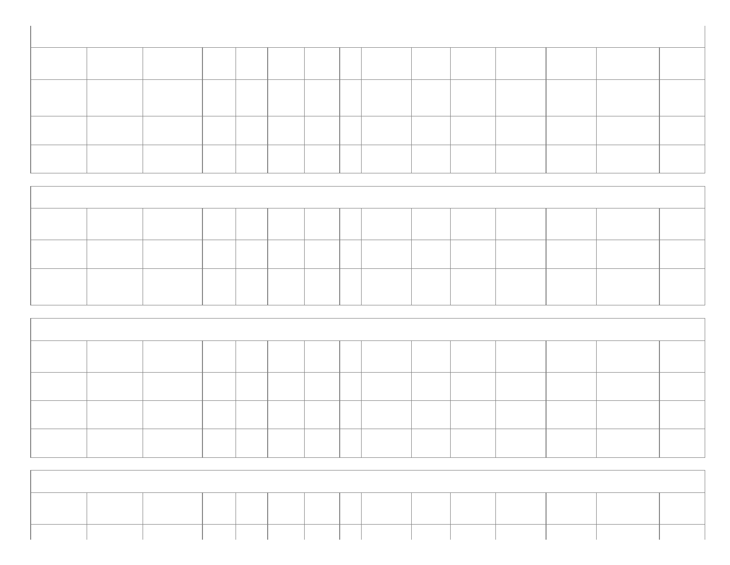# 6PDOO \*URXS a 3HUIRUPDQFH a 0LQL a

|                |                                        |                                                                                                                                                                                                                       | $3/3 \& (0.173)(3 \& (0.177,7)^\text{(1)} \& (0.177,7)^\text{(2)} \& (0.177,7)^\text{(3)} \& (0.177,7)^\text{(4)} \& (0.177,7)^\text{(5)} \& (0.177,7)^\text{(6)} \& (0.177,7)^\text{(7)} \& (0.177,7)^\text{(8)} \& (0.177,7)^\text{(9)} \& (0.177,7)^\text{(10)} \& (0.177,7)^\text{(11)} \& (0.177,7)^\text{(12)} \& (0.177,7)^\$ |                                               |  |         |  |                                              |  |  |
|----------------|----------------------------------------|-----------------------------------------------------------------------------------------------------------------------------------------------------------------------------------------------------------------------|--------------------------------------------------------------------------------------------------------------------------------------------------------------------------------------------------------------------------------------------------------------------------------------------------------------------------------------|-----------------------------------------------|--|---------|--|----------------------------------------------|--|--|
| 5'             | $+$ L J K $*$ R OG $1*/$ (<br>/\$', (6 | $$117 + ($                                                                                                                                                                                                            |                                                                                                                                                                                                                                                                                                                                      | 6 W D U ], Q<br>6 W H S  <br>'DQFH<br>\$FDGHP |  |         |  | $8$ ORJJLQ $9$ PDOQ $9$ HUIRUPDQBHQL         |  |  |
| 1 <sup>1</sup> | + L J K * R D6G/ ((36                  | $7 + (7, 21)$<br>$721, * + 7$                                                                                                                                                                                         |                                                                                                                                                                                                                                                                                                                                      | & D U R O L Q D<br>(OLWH<br>6WXGLRV           |  |         |  | + LS + RS $_{*11R}^{6PDOQ}_{3HUIRUPDOBHQL}$  |  |  |
| 67             |                                        | + L J K * R $\left[\begin{matrix}6 & 8 & 5 & 3 \\ 9 & 2 & 1 & 6 \\ 1 & 1 & 1 & 8\end{matrix}\right]$ + L J K * R $\left[\begin{matrix}6 & 8 & 8 & 5 & 3 \\ 9 & 2 & 1 & 6 & 6 \\ 1 & 1 & 1 & 6 & 6\end{matrix}\right]$ |                                                                                                                                                                                                                                                                                                                                      | 7 K H<br>'DQFH<br>6 K R S                     |  | $-D$ ]] |  | <sup>6 P D O</sup> Q H U I R U P D Q B H Q L |  |  |

|    |                                             |  |                                                 |  |  |                                                                                             | 6PDOO *URXS a 3HUIRUPDQFH a 3HWLWH a |  |
|----|---------------------------------------------|--|-------------------------------------------------|--|--|---------------------------------------------------------------------------------------------|--------------------------------------|--|
|    |                                             |  |                                                 |  |  |                                                                                             | $3/$ 8(0(173/8)(0(177,7/(^{287}10)3/ |  |
|    | + L J K $*$ R $\vert$ O 3G 2 . (0 2 1 $*$ 2 |  | & D U R O L Q D<br>(OLWH '<br>6WXGLRV           |  |  | $+LS$ $+R$ S $_{*11R}^{6PDOQ}_{3}$ HUIRUPDQ <del>TH</del> WLWH                              |                                      |  |
| 67 | 30DWLQ $\frac{766}{965}$ (1'6               |  | 6 W D U ], Q<br>6 W H S<br>$'$ DQFH<br>\$FDGHP\ |  |  | $\sqrt{1 + 1}$ O $^{6 \text{PD}}_{11 \text{R} \times 5}$ $^{3}$ H U I R U P D Q 3 H W L W H |                                      |  |

|                |                                          |                             |  |                                           |  |  |                                                       | 6PDOO *URXS a 3HUIRUPDQFH a -XQLRU a                                                                                                                                                                                                                          |  |
|----------------|------------------------------------------|-----------------------------|--|-------------------------------------------|--|--|-------------------------------------------------------|---------------------------------------------------------------------------------------------------------------------------------------------------------------------------------------------------------------------------------------------------------------|--|
|                |                                          | $3/$ 8 \ (0(173/8)(0(177.7) |  |                                           |  |  |                                                       | $6825 (1755 150 158", 2678", 2678", 2678", 2678", 2687 (1755)   8/1566   8/1566   8/156   8/156   8/156   8/156   8/156   8/156   8/156   8/156   8/156   8/156   8/156   8/156   8/156   8/156   8/156   8/156   8/156   8/156   8/156   8/156   8/156   8/$ |  |
| 5'             | + L J K $*$ R $O/G*6$                    |                             |  | 'DUGHQ<br>$'DQFH$ 3<br>$&$ RPSDQ          |  |  |                                                       |                                                                                                                                                                                                                                                               |  |
| 1 <sup>1</sup> |                                          | 30DW LQX, F8\$5',           |  | & D U R O L Q D<br>(OLWH<br>6 W X G L R V |  |  | + LS + RS $_{\text{URX}}^{6}$ PDOOS HUIRUPDQEXHQLRU   |                                                                                                                                                                                                                                                               |  |
| 67             | $+LJK 30D \vec{W}+\vec{L}^{2}X_{B}P_{B}$ |                             |  | & D U R O L Q D<br>(OLWH<br>6 W X G L R V |  |  | + LS + RS $_{\text{HIRX}}^{6}$ PDOG HUIRUPD Q-BHQ LRU |                                                                                                                                                                                                                                                               |  |

|       |                                                                                                                        |  |                      |  |  |                                 | 6PDOO *URXS a 3HUIRUPDQFH a \$GXOW a                                                                                                                                                                                          |     |
|-------|------------------------------------------------------------------------------------------------------------------------|--|----------------------|--|--|---------------------------------|-------------------------------------------------------------------------------------------------------------------------------------------------------------------------------------------------------------------------------|-----|
|       |                                                                                                                        |  |                      |  |  |                                 | $3/$ 8 (0(173/58(0(177,7/( 6825 (175 x 150) 678', 2678', 25 (350 x 5 (350) 250(5 6, 518 (5) 250 (5 6, 518 (5) 2 50 (5 6, 518 (5) 2 50 (5 6, 518 (5) 2 50 (5 6, 518 (5) 2 50 (5 6, 518 (5) 2 50 (5 6, 518 (5) 2 50 (5 6, 518 ( |     |
| 67    | $30DWLQX, F5/6 1, *+7$                                                                                                 |  | & D U R $\phi$ L Q'D |  |  | +LS +RS 6PDO GHUIRU PDQ\$GHXO W |                                                                                                                                                                                                                               |     |
| KWWSV | XOCWDDFDHWFRIMORUXHLOLH FRP DOFEKLODPWRLGBX100SHFNPOSEBNOBNERENGR7S9RUW 5HSRURWSWHSHXO2WMHURDUO6OW7XGLRV ORFDWLRQ,G HG |  |                      |  |  |                                 |                                                                                                                                                                                                                               | ® D |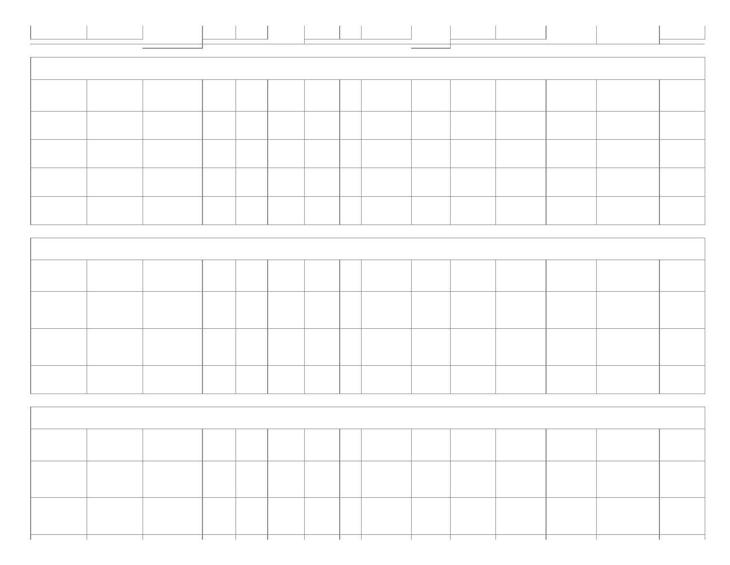& RQWURO 3DQHO  $*$  URX $\$$ 

| ۰.<br>× |  |
|---------|--|
|---------|--|

|                |                                                      |                                                                                                                                  |  |                                               |  |  |                                                                                                                                              | 6PDOO *URXS a 8OWLPDWH a 3HWLWH a                                                                 |  |
|----------------|------------------------------------------------------|----------------------------------------------------------------------------------------------------------------------------------|--|-----------------------------------------------|--|--|----------------------------------------------------------------------------------------------------------------------------------------------|---------------------------------------------------------------------------------------------------|--|
|                | $3/$ \$&(0(1 $\frac{0(5/$ 5287,1(<br>3/\$&(0(177,7/( |                                                                                                                                  |  |                                               |  |  |                                                                                                                                              | $6825((1755)878^4,2678^4,287(^25*)\times 255)(1755)87(856)857(^2255)857(^2255)3(5)250(56)318(56)$ |  |
| $7 +$          |                                                      | 30DWLQXB55,25                                                                                                                    |  | $'D$ $U$ $G$ $H Q$<br>$'DQFH$ 3<br>$&$ RPSDQ\ |  |  | $\bigwedge$ ULFDO $\bigcirc$ <sup>6PDO</sup> O 8OWLPDW SHWLWH                                                                                |                                                                                                   |  |
| 5 <sup>1</sup> |                                                      | + L J K 3 O D $\sqrt{4} \cdot \frac{1}{2} \cdot \sqrt{5} \cdot \sqrt{5} \cdot \sqrt{2} \cdot \sqrt{1}$                           |  | 7 K H<br>$'$ DQFH $ $<br>6KRS                 |  |  | $\sqrt{U LFD}$ O $_{*IIRX}^{6PDOO}$ 8 O W L P D W & H W L W H                                                                                |                                                                                                   |  |
| 1 <sup>1</sup> |                                                      | +LJK 30D $\sqrt{\frac{1}{2}}\frac{236}{3265}$ , 6, 1                                                                             |  | 7 K H<br>'DQFH<br>6KRS                        |  |  | $\begin{array}{c c} -D \end{array}$ $\begin{array}{c} \begin{array}{c} 6 \ P \ D \ Q \ R \ R \ R \ S \end{array} \end{array}$ 80WLPDW BHWLWH |                                                                                                   |  |
| 67             |                                                      | +LJK 30D $\frac{1}{36}$ $\frac{1}{36}$ $\frac{1}{36}$ $\frac{1}{36}$ $\frac{1}{36}$ $\frac{1}{36}$ $\frac{1}{36}$ $\frac{1}{36}$ |  | 7 K H<br>'DQFH<br>6KRS                        |  |  | <b><i>&amp;RQWHPSRURYS</i></b> 8OWLPDW&HWLWH                                                                                                 |                                                                                                   |  |

│(OLWH<br>│6WXG<del>LRV</del>

|                |                                    |                                                                   |  |                                               |  |         |  |                                   | 6PDOO *URXS a 8OWLPDWH a -XQLRU a                                |  |
|----------------|------------------------------------|-------------------------------------------------------------------|--|-----------------------------------------------|--|---------|--|-----------------------------------|------------------------------------------------------------------|--|
|                |                                    |                                                                   |  |                                               |  |         |  |                                   | $3/ \$\& (0.173)^{0.1}_{3/ \$\& (0.177,7/(^{2})} \qquad 5287,1($ |  |
| 5'             |                                    | + L J K * R $D, G \parallel 6$ : (//                              |  | % H<br>) D P R X V<br>'D Q F H<br>& H Q W H U |  | 7D S    |  | <sup>6</sup> PDOO 80WLPDW+KQLRU   |                                                                  |  |
| 1 <sup>1</sup> |                                    | +LJK 3OD $\frac{42}{2} \begin{matrix} 20 \\ 41 \\ 2 \end{matrix}$ |  | % H<br>) D P R X V<br>'D Q F H<br>& H Q W H U |  | 7D S    |  | <sup>6</sup> PDOO 80WLPDW+KQLRU   |                                                                  |  |
| 67             | +LJK 30D $\sqrt{2}a\hat{X}r^{(7)}$ |                                                                   |  | 'DUGHQ<br>$'DQFH$ 3<br>& R P S D Q \          |  | $-D$ ]] |  | $6PDO O$ $8Q$ $VLP$ $W$ $H$ $QLR$ |                                                                  |  |

|       |                                                                                                                       |  |                                       |  | 6PDOO *URXS a 8DHMQ PaDWH a 7                  |  |                                                                                                                                             |  |     |
|-------|-----------------------------------------------------------------------------------------------------------------------|--|---------------------------------------|--|------------------------------------------------|--|---------------------------------------------------------------------------------------------------------------------------------------------|--|-----|
|       | $3/$ \$ & (0(1 $7/$ 3/ \$ & (0(1 $7/$ 7, 7/(                                                                          |  |                                       |  |                                                |  |                                                                                                                                             |  |     |
| $7 +$ | + L J K $*$ R $\vert$ Q, G 9, 1 &, % / ( $\vert$                                                                      |  | % H<br>DPRX V<br>DQFH<br>& H Q W H U  |  |                                                |  | $\begin{array}{c c c c c} -D & \text{if } & 6 & \text{PDQO} & 8 & \text{OWLP} & D & \text{WHHQ} \\ \hline & & & & & & & & & \\ \end{array}$ |  |     |
| $7 +$ | 30DWLQ $X_{6}^{79}$ 6:\$\$ < 6                                                                                        |  | % H<br>DPRX V<br>'DOFH<br>& H Q W H U |  | $\kappa$ RQWHPSR $_{\kappa}$ PRPQO 8OWLPDWFHHQ |  |                                                                                                                                             |  |     |
| KWWSV | XOCWDQFFDHWFRIMARUXHLQLH FRPDOFEKLODPWRLGBXWOGHHWPOSPEWWGNLZENGRORDUW 5HSRURWSSWHSHXO2WMHURDUOGOW7XGLRV ORFDWLRQ.G HG |  |                                       |  |                                                |  |                                                                                                                                             |  | 0 D |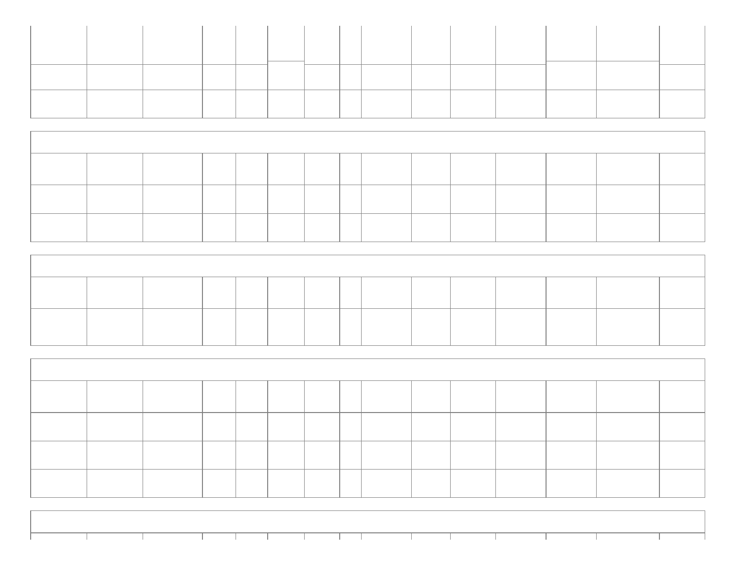|    |                                 | & RQWURO 3DQHO                                                                                  |
|----|---------------------------------|-------------------------------------------------------------------------------------------------|
| 5' | 30DWLQXP                        | $+LS$ + RS 6 PDOO 8 O W L PD W FTH H Q<br>% H<br>&<br>DPRX<br>$*$ URXS<br>'DQFHI<br>& H Q W H U |
| 1' | $1 + LJK 30D W^{4}(88F^{3})87 $ | 7 K H<br>$\wedge$ ULFDO $\swarrow$ $_{\text{URXS}}$ 80WLPDWFHHQ<br>'DQFH<br>6 K R S             |
| 67 | +LJK 30D $\sqrt{2855306}$       | 7 K H<br>$8RQWHP$ $R_{VPRX}^{6PDQO}$ $8QWLP$ $DWHHHQ$<br>'DQFH<br>6 K R S                       |

|                |                                               |                                               |  |                              |      |                                                           |  |                                                           | 6PDOO *URXS a 8OWLPDWH a 6HQLRU a                                                                                                                                                                                                                                                                                                                                                         |  |
|----------------|-----------------------------------------------|-----------------------------------------------|--|------------------------------|------|-----------------------------------------------------------|--|-----------------------------------------------------------|-------------------------------------------------------------------------------------------------------------------------------------------------------------------------------------------------------------------------------------------------------------------------------------------------------------------------------------------------------------------------------------------|--|
|                |                                               | $3/$ \$ & (0(1 $7_3$ / \$ & (0(1 $7$ 7, 7 / ( |  |                              |      |                                                           |  |                                                           | $6825( (1755 \times 10^{-14}) \times 678^{\circ} , 2678^{\circ} , 254^{\circ} ) (857({}^{\circ}255 \times 10^{-14}) \times 666) \times 67({}^{\circ}255 \times 67^{\circ} ) (1755 \times 67^{\circ} ) (1755 \times 67^{\circ} ) (1755 \times 67^{\circ} ) (1755 \times 67^{\circ} ) (1755 \times 67^{\circ} ) (1755 \times 67^{\circ} ) (1755 \times 67^{\circ} ) (1755 \times 67^{\circ$ |  |
| 1 <sup>1</sup> | $+$ L J K 3 O D $W \not\models Q X, F67$      |                                               |  | /HJDF)<br>'DQFH<br>$&$ RPSDQ | $\%$ | 2SHQ                                                      |  | <sup>6</sup> P D O O 8 O W L P D W <del>C</del> H Q L R U |                                                                                                                                                                                                                                                                                                                                                                                           |  |
| 67             | $+$ LJK 30D $\frac{10}{3566}$ $\frac{176}{7}$ |                                               |  | 7 K H<br>'DQFH<br>6 K R S    |      | $ $ & RQWHPSR $_{\rm 8}^{6}$ PDQO $_{\rm 8}$ OWLPDWGHQLRU |  |                                                           |                                                                                                                                                                                                                                                                                                                                                                                           |  |

|    |                          |  |                                                   |  | /DUJH *URXS a 3HUIRUPDQFH a OLQL a |  |                                                                  |                                                                                                                                                                                                                                 |  |
|----|--------------------------|--|---------------------------------------------------|--|------------------------------------|--|------------------------------------------------------------------|---------------------------------------------------------------------------------------------------------------------------------------------------------------------------------------------------------------------------------|--|
|    |                          |  |                                                   |  |                                    |  |                                                                  | $3/$ 8(0(173)/ \$8(0(177,7/(6825)(175 \text{ 0.175 \text{ 0.175 \text{ 0.175 \text{ 0.175 \text{ 0.175 \text{ 0.175 \text{ 0.175 \text{ 0.175 \text{ 0.175 \text{ 0.175 \text{ 0.175 \text{ 0.175 \text{ 0.175 \text{ 0.175 \te |  |
| 67 | + L J K * R $0.65 + 1.7$ |  | 6 W D U 1 , Q<br>6 W H S  <br>'DQFH<br>$$FDGHP\\$ |  |                                    |  | $\left[ \wedge$ ULFDO $\swarrow$ DUJH <sub>3</sub> HUIRUPDQ BHQL |                                                                                                                                                                                                                                 |  |

|                |                                                         |                           |  |                              |  |                                                           |  |                                                                                                                                                                                                                                                                                                                                                                                                                   | /DUJH *URXS a 8OWLPDWH a 3HWLWH a                                                                                                                                                                                  |  |
|----------------|---------------------------------------------------------|---------------------------|--|------------------------------|--|-----------------------------------------------------------|--|-------------------------------------------------------------------------------------------------------------------------------------------------------------------------------------------------------------------------------------------------------------------------------------------------------------------------------------------------------------------------------------------------------------------|--------------------------------------------------------------------------------------------------------------------------------------------------------------------------------------------------------------------|--|
|                |                                                         |                           |  |                              |  |                                                           |  |                                                                                                                                                                                                                                                                                                                                                                                                                   | $3/$ 8 (0 (173)/ $8 (0 (177,7)$<br>3/\$&(0(177,7/( $6825$ ((175)<br>4\$0( 82')<br>4\$0( 82')<br>82')<br>82')<br>82')<br>82')<br>84\$7( $25$ 8.566 8\$7( $25$ 8.57( $25$ 8.56 8.57( $25$ 8.7( $25$ 8.57( $27$ 8.56) |  |
| $5$ '          | $30DWLQXP7+($                                           | 285 & 251 (5)<br>81,9(56) |  | 7 K H<br>$'$ DQFH<br>6 K R S |  | $ $ &RQWHP $ s R \sqrt{P} H_{\mathcal{A}} $ &OWLPDW&HWLWH |  |                                                                                                                                                                                                                                                                                                                                                                                                                   |                                                                                                                                                                                                                    |  |
| 1 <sup>1</sup> | $3$ O D W L Q $8$ \$ 57 <                               |                           |  | 7 K H<br>$'$ DQFH<br>6 K R S |  |                                                           |  | $+LS + R\left S \right $ $\left S \right $ $\left S \right $ $\left S \right $ $\left S \right $ $\left S \right $ $\left S \right $ $\left S \right $ $\left S \right $ $\left S \right $ $\left S \right $ $\left S \right $ $\left S \right $ $\left S \right $ $\left S \right $ $\left S \right $ $\left S \right $ $\left S \right $ $\left S \right $ $\left S \right $ $\left S \right $ $\left S \right$ |                                                                                                                                                                                                                    |  |
| 67             | 8 O W L P D W H<br>' L D P R Q G <sup>2</sup> H ( : \$< |                           |  | 7 K H<br>$'$ DQFH<br>6 K R S |  | $-D$ ]]                                                   |  | $\left(\begin{array}{cc} 1 & 0 & 0 \\ 0 & 0 & 0 \\ 0 & 0 & 0 \end{array}\right)$ $\left(\begin{array}{cc} 0 & 0 & 0 \\ 0 & 0 & 0 \\ 0 & 0 & 0 \end{array}\right)$                                                                                                                                                                                                                                                 |                                                                                                                                                                                                                    |  |

# /DUJH \*URXS a 8OWLPDWH a -XQLRU a

KWWSV XOSWIDFFDHWFRHWSRUXHUQLH FRP DOFEKOODWRIGBKWOSHHNPDSFEWOHDLERENG7S9RUW 5HSRURWSWHSVHXOWMHURDUOGOW7XGLRV ORFDWLRQ,GHG I BD